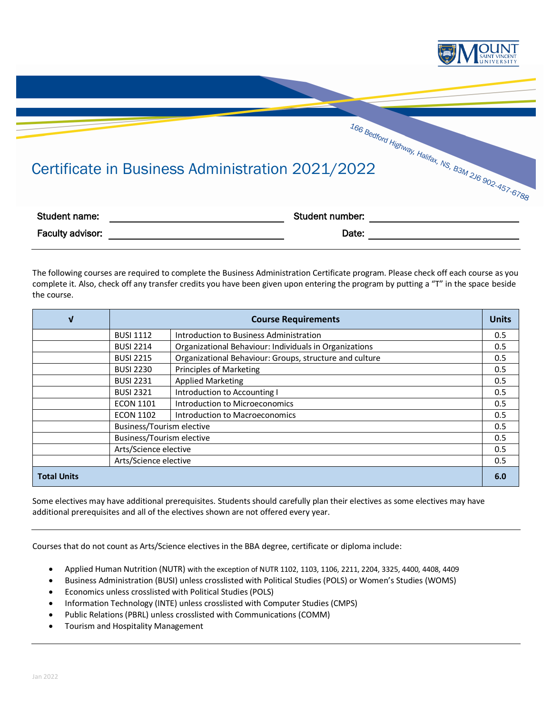

## Certificate in Business Administration 2021/2022

| Student name:           | Student number: |  |
|-------------------------|-----------------|--|
| <b>Faculty advisor:</b> | Date:           |  |

The following courses are required to complete the Business Administration Certificate program. Please check off each course as you complete it. Also, check off any transfer credits you have been given upon entering the program by putting a "T" in the space beside the course.

| V                     | <b>Course Requirements</b> |                                                         | <b>Units</b> |
|-----------------------|----------------------------|---------------------------------------------------------|--------------|
|                       | <b>BUSI 1112</b>           | Introduction to Business Administration                 | 0.5          |
|                       | <b>BUSI 2214</b>           | Organizational Behaviour: Individuals in Organizations  | 0.5          |
|                       | <b>BUSI 2215</b>           | Organizational Behaviour: Groups, structure and culture | 0.5          |
|                       | <b>BUSI 2230</b>           | <b>Principles of Marketing</b>                          | 0.5          |
|                       | <b>BUSI 2231</b>           | <b>Applied Marketing</b>                                | 0.5          |
|                       | <b>BUSI 2321</b>           | Introduction to Accounting I                            | 0.5          |
|                       | <b>ECON 1101</b>           | Introduction to Microeconomics                          | 0.5          |
|                       | <b>ECON 1102</b>           | Introduction to Macroeconomics                          | 0.5          |
|                       | Business/Tourism elective  |                                                         | 0.5          |
|                       | Business/Tourism elective  |                                                         | 0.5          |
|                       | Arts/Science elective      |                                                         | 0.5          |
| Arts/Science elective |                            | 0.5                                                     |              |
| <b>Total Units</b>    |                            |                                                         | 6.0          |

Some electives may have additional prerequisites. Students should carefully plan their electives as some electives may have additional prerequisites and all of the electives shown are not offered every year.

Courses that do not count as Arts/Science electives in the BBA degree, certificate or diploma include:

- Applied Human Nutrition (NUTR) with the exception of NUTR 1102, 1103, 1106, 2211, 2204, 3325, 4400, 4408, 4409
- Business Administration (BUSI) unless crosslisted with Political Studies (POLS) or Women's Studies (WOMS)
- Economics unless crosslisted with Political Studies (POLS)
- Information Technology (INTE) unless crosslisted with Computer Studies (CMPS)
- Public Relations (PBRL) unless crosslisted with Communications (COMM)
- Tourism and Hospitality Management